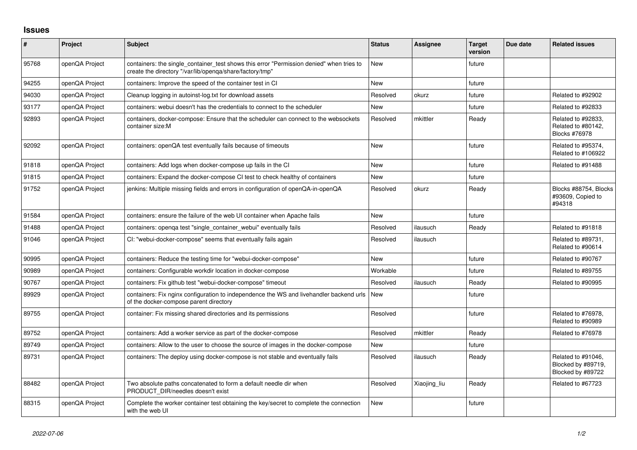## **Issues**

| $\pmb{\#}$ | Project        | Subject                                                                                                                                              | <b>Status</b> | Assignee     | <b>Target</b><br>version | Due date | <b>Related issues</b>                                            |
|------------|----------------|------------------------------------------------------------------------------------------------------------------------------------------------------|---------------|--------------|--------------------------|----------|------------------------------------------------------------------|
| 95768      | openQA Project | containers: the single container test shows this error "Permission denied" when tries to<br>create the directory "/var/lib/openga/share/factory/tmp" | <b>New</b>    |              | future                   |          |                                                                  |
| 94255      | openQA Project | containers: Improve the speed of the container test in CI                                                                                            | <b>New</b>    |              | future                   |          |                                                                  |
| 94030      | openQA Project | Cleanup logging in autoinst-log.txt for download assets                                                                                              | Resolved      | okurz        | future                   |          | Related to #92902                                                |
| 93177      | openQA Project | containers: webui doesn't has the credentials to connect to the scheduler                                                                            | New           |              | future                   |          | Related to #92833                                                |
| 92893      | openQA Project | containers, docker-compose: Ensure that the scheduler can connect to the websockets<br>container size:M                                              | Resolved      | mkittler     | Ready                    |          | Related to #92833,<br>Related to #80142,<br><b>Blocks #76978</b> |
| 92092      | openQA Project | containers: openQA test eventually fails because of timeouts                                                                                         | <b>New</b>    |              | future                   |          | Related to #95374.<br>Related to #106922                         |
| 91818      | openQA Project | containers: Add logs when docker-compose up fails in the CI                                                                                          | <b>New</b>    |              | future                   |          | Related to #91488                                                |
| 91815      | openQA Project | containers: Expand the docker-compose CI test to check healthy of containers                                                                         | <b>New</b>    |              | future                   |          |                                                                  |
| 91752      | openQA Project | jenkins: Multiple missing fields and errors in configuration of openQA-in-openQA                                                                     | Resolved      | okurz        | Ready                    |          | Blocks #88754, Blocks<br>#93609, Copied to<br>#94318             |
| 91584      | openQA Project | containers: ensure the failure of the web UI container when Apache fails                                                                             | <b>New</b>    |              | future                   |          |                                                                  |
| 91488      | openQA Project | containers: openga test "single container webui" eventually fails                                                                                    | Resolved      | ilausuch     | Ready                    |          | Related to #91818                                                |
| 91046      | openQA Project | CI: "webui-docker-compose" seems that eventually fails again                                                                                         | Resolved      | ilausuch     |                          |          | Related to #89731,<br>Related to #90614                          |
| 90995      | openQA Project | containers: Reduce the testing time for "webui-docker-compose"                                                                                       | <b>New</b>    |              | future                   |          | Related to #90767                                                |
| 90989      | openQA Project | containers: Configurable workdir location in docker-compose                                                                                          | Workable      |              | future                   |          | Related to #89755                                                |
| 90767      | openQA Project | containers: Fix github test "webui-docker-compose" timeout                                                                                           | Resolved      | ilausuch     | Ready                    |          | Related to #90995                                                |
| 89929      | openQA Project | containers: Fix nginx configuration to independence the WS and livehandler backend urls<br>of the docker-compose parent directory                    | <b>New</b>    |              | future                   |          |                                                                  |
| 89755      | openQA Project | container: Fix missing shared directories and its permissions                                                                                        | Resolved      |              | future                   |          | Related to #76978,<br>Related to #90989                          |
| 89752      | openQA Project | containers: Add a worker service as part of the docker-compose                                                                                       | Resolved      | mkittler     | Ready                    |          | Related to #76978                                                |
| 89749      | openQA Project | containers: Allow to the user to choose the source of images in the docker-compose                                                                   | <b>New</b>    |              | future                   |          |                                                                  |
| 89731      | openQA Project | containers: The deploy using docker-compose is not stable and eventually fails                                                                       | Resolved      | ilausuch     | Ready                    |          | Related to #91046,<br>Blocked by #89719,<br>Blocked by #89722    |
| 88482      | openQA Project | Two absolute paths concatenated to form a default needle dir when<br>PRODUCT DIR/needles doesn't exist                                               | Resolved      | Xiaojing_liu | Ready                    |          | Related to #67723                                                |
| 88315      | openQA Project | Complete the worker container test obtaining the key/secret to complete the connection<br>with the web UI                                            | <b>New</b>    |              | future                   |          |                                                                  |